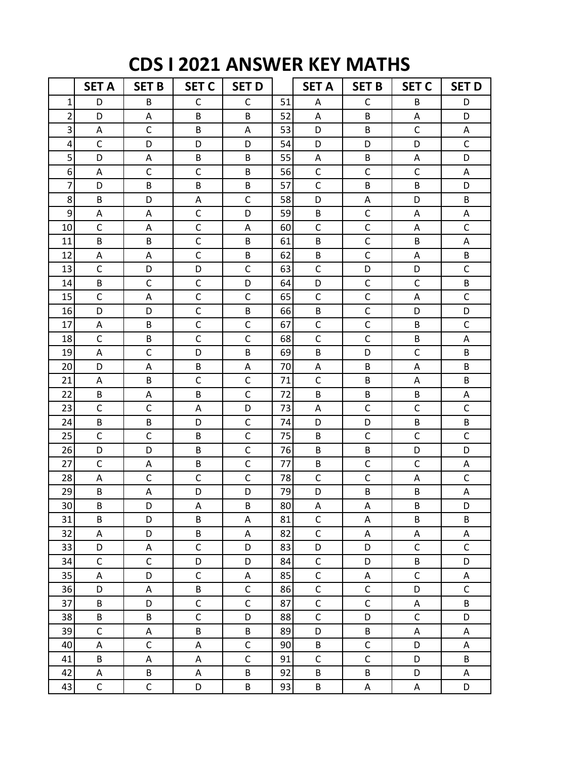## **CDS I 2021 ANSWER KEY MATHS**

|                | <b>SET A</b> | <b>SET B</b>   | <b>SET C</b> | <b>SET D</b> |    | <b>SET A</b>              | <b>SET B</b>              | <b>SET C</b> | <b>SET D</b>              |
|----------------|--------------|----------------|--------------|--------------|----|---------------------------|---------------------------|--------------|---------------------------|
| 1              | D            | B              | C            | $\mathsf C$  | 51 | A                         | $\mathsf{C}$              | B            | D                         |
| $\overline{2}$ | D            | Α              | B            | B            | 52 | A                         | B                         | A            | D                         |
| 3              | A            | $\mathsf C$    | B            | Α            | 53 | D                         | B                         | $\mathsf{C}$ | Α                         |
| 4              | $\mathsf{C}$ | D              | D            | D            | 54 | D                         | D                         | D            | $\mathsf{C}$              |
| 5              | D            | Α              | B            | B            | 55 | A                         | B                         | A            | D                         |
| 6              | A            | $\mathsf C$    | $\mathsf{C}$ | B            | 56 | $\mathsf C$               | $\mathsf C$               | $\mathsf{C}$ | A                         |
| 7              | D            | B              | B            | B            | 57 | $\mathsf{C}$              | B                         | B            | D                         |
| 8              | B            | D              | Α            | C            | 58 | D                         | Α                         | D            | B                         |
| 9              | Α            | Α              | C            | D            | 59 | B                         | $\mathsf C$               | A            | Α                         |
| 10             | $\mathsf C$  | Α              | $\mathsf{C}$ | A            | 60 | $\mathsf C$               | $\mathsf C$               | A            | $\mathsf C$               |
| 11             | B            | B              | $\mathsf{C}$ | B            | 61 | B                         | $\mathsf C$               | B            | Α                         |
| 12             | Α            | A              | $\mathsf{C}$ | B            | 62 | B                         | $\mathsf{C}$              | A            | B                         |
| 13             | $\mathsf{C}$ | D              | D            | $\mathsf C$  | 63 | $\mathsf C$               | D                         | D            | $\mathsf C$               |
| 14             | B            | $\mathsf C$    | $\mathsf{C}$ | D            | 64 | D                         | $\mathsf C$               | $\mathsf{C}$ | B                         |
| 15             | $\mathsf{C}$ | A              | $\mathsf{C}$ | $\mathsf{C}$ | 65 | $\mathsf{C}$              | $\mathsf C$               | A            | $\mathsf C$               |
| 16             | D            | D              | $\mathsf{C}$ | B            | 66 | B                         | $\mathsf C$               | D            | D                         |
| 17             | A            | B              | $\mathsf{C}$ | $\mathsf{C}$ | 67 | $\mathsf{C}$              | $\mathsf{C}$              | B            | $\mathsf C$               |
| 18             | $\mathsf C$  | B              | $\mathsf{C}$ | $\mathsf{C}$ | 68 | $\mathsf{C}$              | $\mathsf C$               | B            | A                         |
| 19             | A            | $\mathsf{C}$   | D            | B            | 69 | B                         | D                         | $\mathsf{C}$ | B                         |
| 20             | D            | A              | B            | Α            | 70 | A                         | B                         | A            | B                         |
| 21             | A            | B              | $\mathsf{C}$ | $\mathsf{C}$ | 71 | $\mathsf{C}$              | B                         | A            | B                         |
| 22             | B            | Α              | B            | $\mathsf{C}$ | 72 | B                         | B                         | B            | А                         |
| 23             | $\mathsf{C}$ | $\mathsf C$    | A            | D            | 73 | A                         | $\mathsf C$               | C            | $\mathsf C$               |
| 24             | B            | B              | D            | $\mathsf C$  | 74 | D                         | D                         | B            | B                         |
| 25             | $\mathsf{C}$ | $\mathsf C$    | B            | $\mathsf{C}$ | 75 | B                         | $\mathsf C$               | $\mathsf{C}$ | $\mathsf C$               |
| 26             | D            | D              | B            | $\mathsf{C}$ | 76 | B                         | B                         | D            | D                         |
| 27             | $\mathsf{C}$ | Α              | B            | $\mathsf{C}$ | 77 | B                         | $\mathsf{C}$              | C            | Α                         |
| 28             | Α            | $\mathsf C$    | $\mathsf{C}$ | $\mathsf{C}$ | 78 | $\mathsf C$               | $\mathsf{C}$              | A            | $\mathsf C$               |
| 29             | B            | A              | D            | D            | 79 | D                         | B                         | B            | $\boldsymbol{\mathsf{A}}$ |
| 30             | $\sf B$      | D              | $\mathsf A$  | $\sf B$      | 80 | $\boldsymbol{\mathsf{A}}$ | $\boldsymbol{\mathsf{A}}$ | B            | D                         |
| 31             | B            | D              | B            | Α            | 81 | $\mathsf C$               | Α                         | B            | B                         |
| 32             | Α            | D              | B            | Α            | 82 | $\mathsf C$               | Α                         | Α            | Α                         |
| 33             | D            | A              | $\mathsf{C}$ | D            | 83 | D                         | D                         | $\mathsf{C}$ | $\mathsf C$               |
| 34             | $\mathsf C$  | $\mathsf{C}$   | D            | D            | 84 | $\mathsf C$               | D                         | B            | D                         |
| 35             | Α            | D              | $\mathsf C$  | A            | 85 | $\mathsf C$               | Α                         | $\mathsf C$  | A                         |
| 36             | D            | A              | B            | $\mathsf C$  | 86 | $\mathsf{C}$              | $\mathsf C$               | D            | $\mathsf C$               |
| 37             | B            | D              | $\mathsf{C}$ | $\mathsf C$  | 87 | $\mathsf{C}$              | $\mathsf C$               | Α            | B                         |
| 38             | B            | B              | $\mathsf{C}$ | D            | 88 | $\mathsf C$               | D                         | $\mathsf C$  | D                         |
| 39             | $\mathsf C$  | A              | B            | B            | 89 | D                         | B                         | Α            | Α                         |
| 40             | Α            | $\mathsf{C}$   | A            | $\mathsf C$  | 90 | B                         | $\mathsf C$               | D            | Α                         |
| 41             | B            | Α              | A            | $\mathsf C$  | 91 | $\mathsf C$               | $\mathsf C$               | D            | B                         |
| 42             | A            | B              | Α            | B            | 92 | B                         | B                         | D            | A                         |
| 43             | $\mathsf{C}$ | $\overline{C}$ | D            | B            | 93 | B                         | $\mathsf A$               | $\mathsf A$  | D                         |